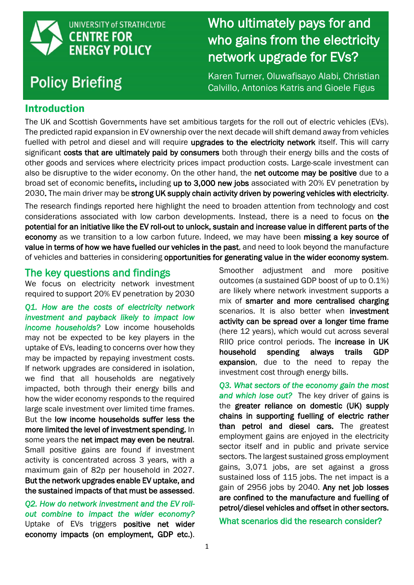

# **Policy Briefing**

who doing from the electricity who gains from the electricity  $\frac{1}{2}$ Who ultimately pays for and who gains from the electricity network upgrade for EVs?

Karen Turner, Oluwafisayo Alabi, Christian Calvillo, Antonios Katris and Gioele Figus

# Introduction

The UK and Scottish Governments have set ambitious targets for the roll out of electric vehicles (EVs). The predicted rapid expansion in EV ownership over the next decade will shift demand away from vehicles fuelled with petrol and diesel and will require **upgrades to the electricity network** itself. This will carry significant costs that are ultimately paid by consumers both through their energy bills and the costs of other goods and services where electricity prices impact production costs. Large-scale investment can also be disruptive to the wider economy. On the other hand, the net outcome may be positive due to a broad set of economic benefits, including up to 3,000 new jobs associated with 20% EV penetration by 2030. The main driver may be strong UK supply chain activity driven by powering vehicles with electricity.

The research findings reported here highlight the need to broaden attention from technology and cost considerations associated with low carbon developments. Instead, there is a need to focus on the potential for an initiative like the EV roll-out to unlock, sustain and increase value in different parts of the economy as we transition to a low carbon future. Indeed, we may have been missing a key source of value in terms of how we have fuelled our vehicles in the past, and need to look beyond the manufacture of vehicles and batteries in considering opportunities for generating value in the wider economy system.

# The key questions and findings

We focus on electricity network investment required to support 20% EV penetration by 2030

*Q1. How are the costs of electricity network investment and payback likely to impact low income households?* Low income households may not be expected to be key players in the uptake of EVs, leading to concerns over how they may be impacted by repaying investment costs. If network upgrades are considered in isolation, we find that all households are negatively impacted, both through their energy bills and how the wider economy responds to the required large scale investment over limited time frames. But the low income households suffer less the more limited the level of investment spending. In some years the net impact may even be neutral. Small positive gains are found if investment activity is concentrated across 3 years, with a maximum gain of 82p per household in 2027. But the network upgrades enable EV uptake, and the sustained impacts of that must be assessed.

*Q2. How do network investment and the EV rollout combine to impact the wider economy?*  Uptake of EVs triggers positive net wider economy impacts (on employment, GDP etc.).

Smoother adjustment and more positive outcomes (a sustained GDP boost of up to 0.1%) are likely where network investment supports a mix of smarter and more centralised charging scenarios. It is also better when investment activity can be spread over a longer time frame (here 12 years), which would cut across several RIIO price control periods. The increase in UK household spending always trails GDP expansion, due to the need to repay the investment cost through energy bills.

*Q3. What sectors of the economy gain the most and which lose out?* The key driver of gains is the greater reliance on domestic (UK) supply chains in supporting fuelling of electric rather than petrol and diesel cars. The greatest employment gains are enjoyed in the electricity sector itself and in public and private service sectors. The largest sustained gross employment gains, 3,071 jobs, are set against a gross sustained loss of 115 jobs. The net impact is a gain of 2956 jobs by 2040. Any net job losses are confined to the manufacture and fuelling of petrol/diesel vehicles and offset in other sectors.

What scenarios did the research consider?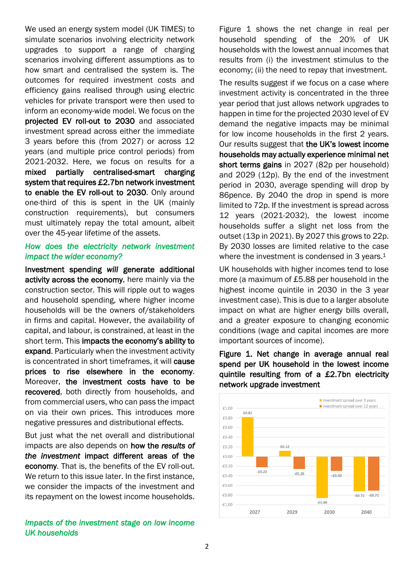We used an energy system model (UK TIMES) to simulate scenarios involving electricity network upgrades to support a range of charging scenarios involving different assumptions as to how smart and centralised the system is. The outcomes for required investment costs and efficiency gains realised through using electric vehicles for private transport were then used to inform an economy-wide model. We focus on the projected EV roll-out to 2030 and associated investment spread across either the immediate 3 years before this (from 2027) or across 12 years (and multiple price control periods) from 2021-2032. Here, we focus on results for a mixed partially centralised-smart charging system that requires £2.7bn network investment to enable the EV roll-out to 2030. Only around one-third of this is spent in the UK (mainly construction requirements), but consumers must ultimately repay the total amount, albeit over the 45-year lifetime of the assets.

## *How does the electricity network investment impact the wider economy?*

Investment spending *will* generate additional activity across the economy, here mainly via the construction sector. This will ripple out to wages and household spending, where higher income households will be the owners of/stakeholders in firms and capital. However, the availability of capital, and labour, is constrained, at least in the short term. This impacts the economy's ability to expand. Particularly when the investment activity is concentrated in short timeframes, it will cause prices to rise elsewhere in the economy. Moreover, the investment costs have to be recovered, both directly from households, and from commercial users, who can pass the impact on via their own prices. This introduces more negative pressures and distributional effects.

But just what the net overall and distributional impacts are also depends on how the *results of the investment* impact different areas of the economy. That is, the benefits of the EV roll-out. We return to this issue later. In the first instance, we consider the impacts of the investment and its repayment on the lowest income households.

#### *Impacts of the investment stage on low income UK households*

Figure 1 shows the net change in real per household spending of the 20% of UK households with the lowest annual incomes that results from (i) the investment stimulus to the economy; (ii) the need to repay that investment.

The results suggest if we focus on a case where investment activity is concentrated in the three year period that just allows network upgrades to happen in time for the projected 2030 level of EV demand the negative impacts may be minimal for low income households in the first 2 years. Our results suggest that the UK's lowest income households may actually experience minimal net short terms gains in 2027 (82p per household) and 2029 (12p). By the end of the investment period in 2030, average spending will drop by 86pence. By 2040 the drop in spend is more limited to 72p. If the investment is spread across 12 years (2021-2032), the lowest income households suffer a slight net loss from the outset (13p in 2021). By 2027 this grows to 22p. By 2030 losses are limited relative to the case where the investment is condensed in 3 years.<sup>1</sup>

UK households with higher incomes tend to lose more (a maximum of £5.88 per household in the highest income quintile in 2030 in the 3 year investment case). This is due to a larger absolute impact on what are higher energy bills overall, and a greater exposure to changing economic conditions (wage and capital incomes are more important sources of income).

Figure 1. Net change in average annual real spend per UK household in the lowest income quintile resulting from of a £2.7bn electricity network upgrade investment

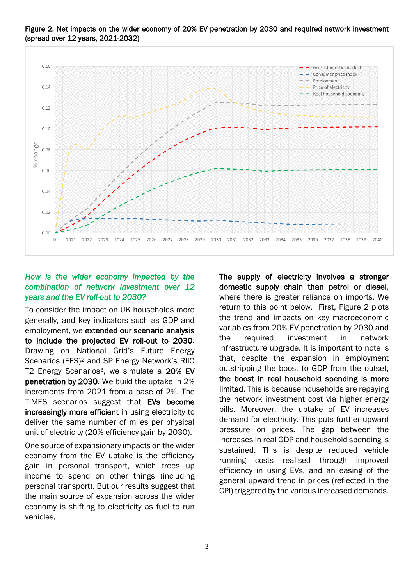

Figure 2. Net impacts on the wider economy of 20% EV penetration by 2030 and required network investment (spread over 12 years, 2021-2032)

# *How is the wider economy impacted by the combination of network investment over 12 years and the EV roll-out to 2030?*

To consider the impact on UK households more generally, and key indicators such as GDP and employment, we extended our scenario analysis to include the projected EV roll-out to 2030. Drawing on National Grid's Future Energy Scenarios (FES)<sup>2</sup> and SP Energy Network's RIIO T2 Energy Scenarios<sup>3</sup>, we simulate a 20% EV penetration by 2030. We build the uptake in 2% increments from 2021 from a base of 2%. The TIMES scenarios suggest that EVs become increasingly more efficient in using electricity to deliver the same number of miles per physical unit of electricity (20% efficiency gain by 2030).

One source of expansionary impacts on the wider economy from the EV uptake is the efficiency gain in personal transport, which frees up income to spend on other things (including personal transport). But our results suggest that the main source of expansion across the wider economy is shifting to electricity as fuel to run vehicles.

The supply of electricity involves a stronger domestic supply chain than petrol or diesel, where there is greater reliance on imports. We return to this point below. First, Figure 2 plots the trend and impacts on key macroeconomic variables from 20% EV penetration by 2030 and the required investment in network infrastructure upgrade. It is important to note is that, despite the expansion in employment outstripping the boost to GDP from the outset, the boost in real household spending is more limited. This is because households are repaying the network investment cost via higher energy bills. Moreover, the uptake of EV increases demand for electricity. This puts further upward pressure on prices. The gap between the increases in real GDP and household spending is sustained. This is despite reduced vehicle running costs realised through improved efficiency in using EVs, and an easing of the general upward trend in prices (reflected in the CPI) triggered by the various increased demands.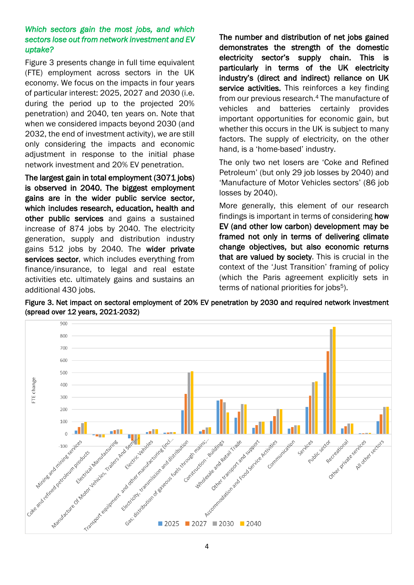# *Which sectors gain the most jobs, and which sectors lose out from network investment and EV uptake?*

Figure 3 presents change in full time equivalent (FTE) employment across sectors in the UK economy. We focus on the impacts in four years of particular interest: 2025, 2027 and 2030 (i.e. during the period up to the projected 20% penetration) and 2040, ten years on. Note that when we considered impacts beyond 2030 (and 2032, the end of investment activity), we are still only considering the impacts and economic adjustment in response to the initial phase network investment and 20% EV penetration.

The largest gain in total employment (3071 jobs) is observed in 2040. The biggest employment gains are in the wider public service sector, which includes research, education, health and other public services and gains a sustained increase of 874 jobs by 2040. The electricity generation, supply and distribution industry gains 512 jobs by 2040. The wider private services sector, which includes everything from finance/insurance, to legal and real estate activities etc. ultimately gains and sustains an additional 430 jobs.

The number and distribution of net jobs gained demonstrates the strength of the domestic electricity sector's supply chain. This is particularly in terms of the UK electricity industry's (direct and indirect) reliance on UK service activities. This reinforces a key finding from our previous research. <sup>4</sup> The manufacture of vehicles and batteries certainly provides important opportunities for economic gain, but whether this occurs in the UK is subject to many factors. The supply of electricity, on the other hand, is a 'home-based' industry.

The only two net losers are 'Coke and Refined Petroleum' (but only 29 job losses by 2040) and 'Manufacture of Motor Vehicles sectors' (86 job losses by 2040).

More generally, this element of our research findings is important in terms of considering how EV (and other low carbon) development may be framed not only in terms of delivering climate change objectives, but also economic returns that are valued by society. This is crucial in the context of the 'Just Transition' framing of policy (which the Paris agreement explicitly sets in terms of national priorities for jobs<sup>5</sup>).



Figure 3. Net impact on sectoral employment of 20% EV penetration by 2030 and required network investment (spread over 12 years, 2021-2032)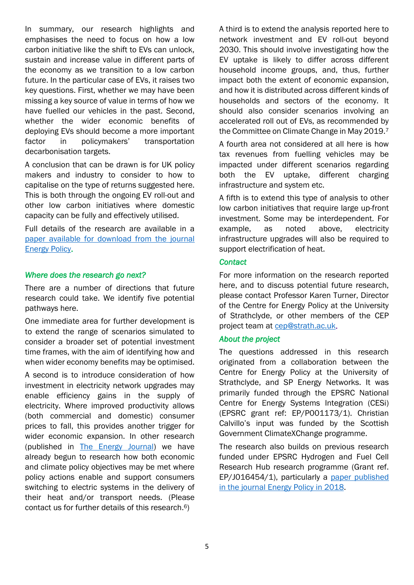In summary, our research highlights and emphasises the need to focus on how a low carbon initiative like the shift to EVs can unlock, sustain and increase value in different parts of the economy as we transition to a low carbon future. In the particular case of EVs, it raises two key questions. First, whether we may have been missing a key source of value in terms of how we have fuelled our vehicles in the past. Second, whether the wider economic benefits of deploying EVs should become a more important factor in policymakers' transportation decarbonisation targets.

A conclusion that can be drawn is for UK policy makers and industry to consider to how to capitalise on the type of returns suggested here. This is both through the ongoing EV roll-out and other low carbon initiatives where domestic capacity can be fully and effectively utilised.

Full details of the research are available in a paper available for download [from the journal](https://doi.org/10.1016/j.enpol.2019.111117)  [Energy Policy.](https://doi.org/10.1016/j.enpol.2019.111117)

#### *Where does the research go next?*

There are a number of directions that future research could take. We identify five potential pathways here.

One immediate area for further development is to extend the range of scenarios simulated to consider a broader set of potential investment time frames, with the aim of identifying how and when wider economy benefits may be optimised.

A second is to introduce consideration of how investment in electricity network upgrades may enable efficiency gains in the supply of electricity. Where improved productivity allows (both commercial and domestic) consumer prices to fall, this provides another trigger for wider economic expansion. In other research (published in [The Energy Journal\)](https://doi.org/10.5547/01956574.40.4.ktur) we have already begun to research how both economic and climate policy objectives may be met where policy actions enable and support consumers switching to electric systems in the delivery of their heat and/or transport needs. (Please contact us for further details of this research.6)

A third is to extend the analysis reported here to network investment and EV roll-out beyond 2030. This should involve investigating how the EV uptake is likely to differ across different household income groups, and, thus, further impact both the extent of economic expansion, and how it is distributed across different kinds of households and sectors of the economy. It should also consider scenarios involving an accelerated roll out of EVs, as recommended by the Committee on Climate Change in May 2019.<sup>7</sup>

A fourth area not considered at all here is how tax revenues from fuelling vehicles may be impacted under different scenarios regarding both the EV uptake, different charging infrastructure and system etc.

A fifth is to extend this type of analysis to other low carbon initiatives that require large up-front investment. Some may be interdependent. For example, as noted above, electricity infrastructure upgrades will also be required to support electrification of heat.

## *Contact*

For more information on the research reported here, and to discuss potential future research, please contact Professor Karen Turner, Director of the Centre for Energy Policy at the University of Strathclyde, or other members of the CEP project team at [cep@strath.ac.uk.](mailto:cep@strath.ac.uk)

#### *About the project*

The questions addressed in this research originated from a collaboration between the Centre for Energy Policy at the University of Strathclyde, and SP Energy Networks. It was primarily funded through the EPSRC National Centre for Energy Systems Integration (CESi) (EPSRC grant ref: EP/P001173/1). Christian Calvillo's input was funded by the Scottish Government ClimateXChange programme.

The research also builds on previous research funded under EPSRC Hydrogen and Fuel Cell Research Hub research programme (Grant ref. EP/J016454/1), particularly a [paper published](https://doi.org/10.1016/j.enpol.2018.05.011)  in the journal [Energy Policy](https://doi.org/10.1016/j.enpol.2018.05.011) in 2018.